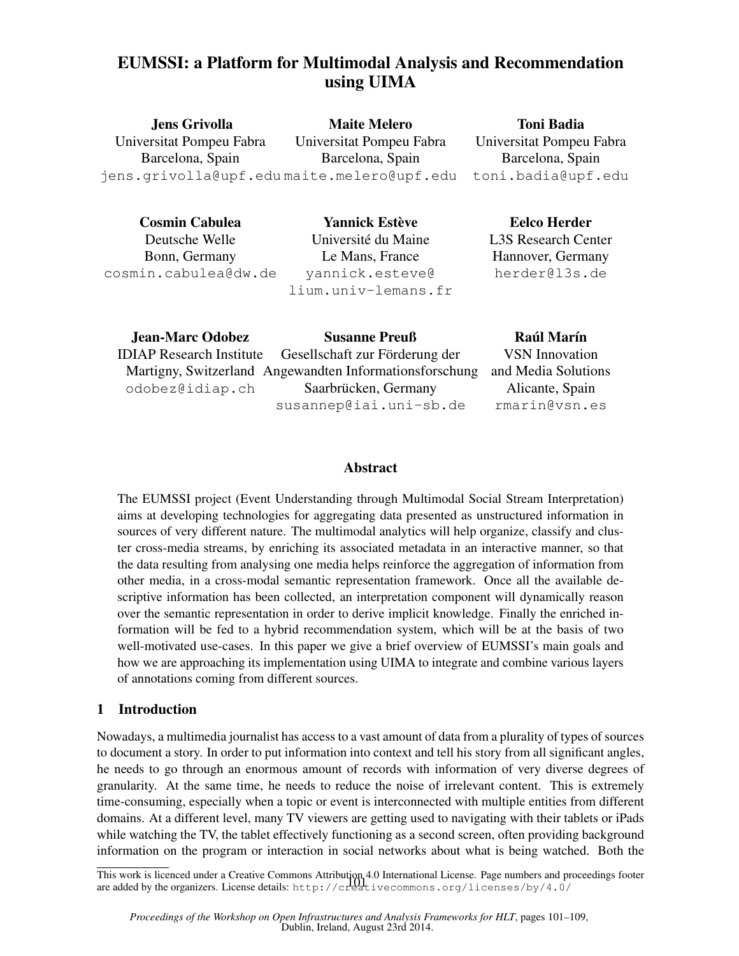# EUMSSI: a Platform for Multimodal Analysis and Recommendation using UIMA

| <b>Jens Grivolla</b>                      | <b>Maite Melero</b>      | <b>Toni Badia</b>    |
|-------------------------------------------|--------------------------|----------------------|
| Universitat Pompeu Fabra                  | Universitat Pompeu Fabra | Universitat Pompeu F |
| Barcelona, Spain                          | Barcelona, Spain         | Barcelona, Spain     |
| jens.grivolla@upf.edumaite.melero@upf.edu |                          | toni.badia@upf.      |

Cosmin Cabulea Deutsche Welle Bonn, Germany cosmin.cabulea@dw.de

**Yannick Estève** Universite du Maine ´ Le Mans, France yannick.esteve@ lium.univ-lemans.fr

Pahra Barcelona, Spain edu

Eelco Herder L3S Research Center Hannover, Germany herder@l3s.de

| <b>Jean-Marc Odobez</b> | <b>Susanne Preuß</b>                                    | <b>Raúl Marín</b>     |
|-------------------------|---------------------------------------------------------|-----------------------|
|                         | IDIAP Research Institute Gesellschaft zur Förderung der | <b>VSN</b> Innovation |
|                         | Martigny, Switzerland Angewandten Informationsforschung | and Media Solutions   |
| odobez@idiap.ch         | Saarbrücken, Germany                                    | Alicante, Spain       |
|                         | susannep@iai.uni-sb.de                                  | rmarin@vsn.es         |
|                         |                                                         |                       |

# Abstract

The EUMSSI project (Event Understanding through Multimodal Social Stream Interpretation) aims at developing technologies for aggregating data presented as unstructured information in sources of very different nature. The multimodal analytics will help organize, classify and cluster cross-media streams, by enriching its associated metadata in an interactive manner, so that the data resulting from analysing one media helps reinforce the aggregation of information from other media, in a cross-modal semantic representation framework. Once all the available descriptive information has been collected, an interpretation component will dynamically reason over the semantic representation in order to derive implicit knowledge. Finally the enriched information will be fed to a hybrid recommendation system, which will be at the basis of two well-motivated use-cases. In this paper we give a brief overview of EUMSSI's main goals and how we are approaching its implementation using UIMA to integrate and combine various layers of annotations coming from different sources.

# 1 Introduction

Nowadays, a multimedia journalist has access to a vast amount of data from a plurality of types of sources to document a story. In order to put information into context and tell his story from all significant angles, he needs to go through an enormous amount of records with information of very diverse degrees of granularity. At the same time, he needs to reduce the noise of irrelevant content. This is extremely time-consuming, especially when a topic or event is interconnected with multiple entities from different domains. At a different level, many TV viewers are getting used to navigating with their tablets or iPads while watching the TV, the tablet effectively functioning as a second screen, often providing background information on the program or interaction in social networks about what is being watched. Both the

This work is licenced under a Creative Commons Attribution 4.0 International License. Page numbers and proceedings footer are added by the organizers. License details: http://creativecommons.org/licenses/by/4.0/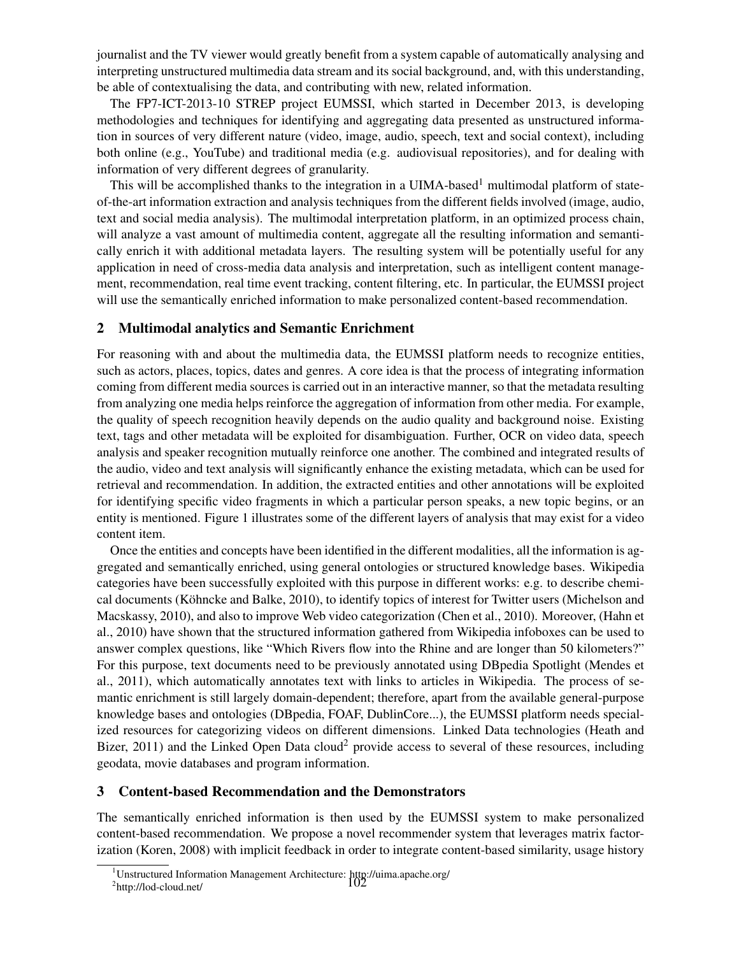journalist and the TV viewer would greatly benefit from a system capable of automatically analysing and interpreting unstructured multimedia data stream and its social background, and, with this understanding, be able of contextualising the data, and contributing with new, related information.

The FP7-ICT-2013-10 STREP project EUMSSI, which started in December 2013, is developing methodologies and techniques for identifying and aggregating data presented as unstructured information in sources of very different nature (video, image, audio, speech, text and social context), including both online (e.g., YouTube) and traditional media (e.g. audiovisual repositories), and for dealing with information of very different degrees of granularity.

This will be accomplished thanks to the integration in a UIMA-based<sup>1</sup> multimodal platform of stateof-the-art information extraction and analysis techniques from the different fields involved (image, audio, text and social media analysis). The multimodal interpretation platform, in an optimized process chain, will analyze a vast amount of multimedia content, aggregate all the resulting information and semantically enrich it with additional metadata layers. The resulting system will be potentially useful for any application in need of cross-media data analysis and interpretation, such as intelligent content management, recommendation, real time event tracking, content filtering, etc. In particular, the EUMSSI project will use the semantically enriched information to make personalized content-based recommendation.

# 2 Multimodal analytics and Semantic Enrichment

For reasoning with and about the multimedia data, the EUMSSI platform needs to recognize entities, such as actors, places, topics, dates and genres. A core idea is that the process of integrating information coming from different media sources is carried out in an interactive manner, so that the metadata resulting from analyzing one media helps reinforce the aggregation of information from other media. For example, the quality of speech recognition heavily depends on the audio quality and background noise. Existing text, tags and other metadata will be exploited for disambiguation. Further, OCR on video data, speech analysis and speaker recognition mutually reinforce one another. The combined and integrated results of the audio, video and text analysis will significantly enhance the existing metadata, which can be used for retrieval and recommendation. In addition, the extracted entities and other annotations will be exploited for identifying specific video fragments in which a particular person speaks, a new topic begins, or an entity is mentioned. Figure 1 illustrates some of the different layers of analysis that may exist for a video content item.

Once the entities and concepts have been identified in the different modalities, all the information is aggregated and semantically enriched, using general ontologies or structured knowledge bases. Wikipedia categories have been successfully exploited with this purpose in different works: e.g. to describe chemical documents (Köhncke and Balke, 2010), to identify topics of interest for Twitter users (Michelson and Macskassy, 2010), and also to improve Web video categorization (Chen et al., 2010). Moreover, (Hahn et al., 2010) have shown that the structured information gathered from Wikipedia infoboxes can be used to answer complex questions, like "Which Rivers flow into the Rhine and are longer than 50 kilometers?" For this purpose, text documents need to be previously annotated using DBpedia Spotlight (Mendes et al., 2011), which automatically annotates text with links to articles in Wikipedia. The process of semantic enrichment is still largely domain-dependent; therefore, apart from the available general-purpose knowledge bases and ontologies (DBpedia, FOAF, DublinCore...), the EUMSSI platform needs specialized resources for categorizing videos on different dimensions. Linked Data technologies (Heath and Bizer,  $2011$ ) and the Linked Open Data cloud<sup>2</sup> provide access to several of these resources, including geodata, movie databases and program information.

# 3 Content-based Recommendation and the Demonstrators

The semantically enriched information is then used by the EUMSSI system to make personalized content-based recommendation. We propose a novel recommender system that leverages matrix factorization (Koren, 2008) with implicit feedback in order to integrate content-based similarity, usage history

<sup>&</sup>lt;sup>1</sup>Unstructured Information Management Architecture: http://uima.apache.org/<br><sup>2</sup>http://lod-cloud.net/ <sup>2</sup>http://lod-cloud.net/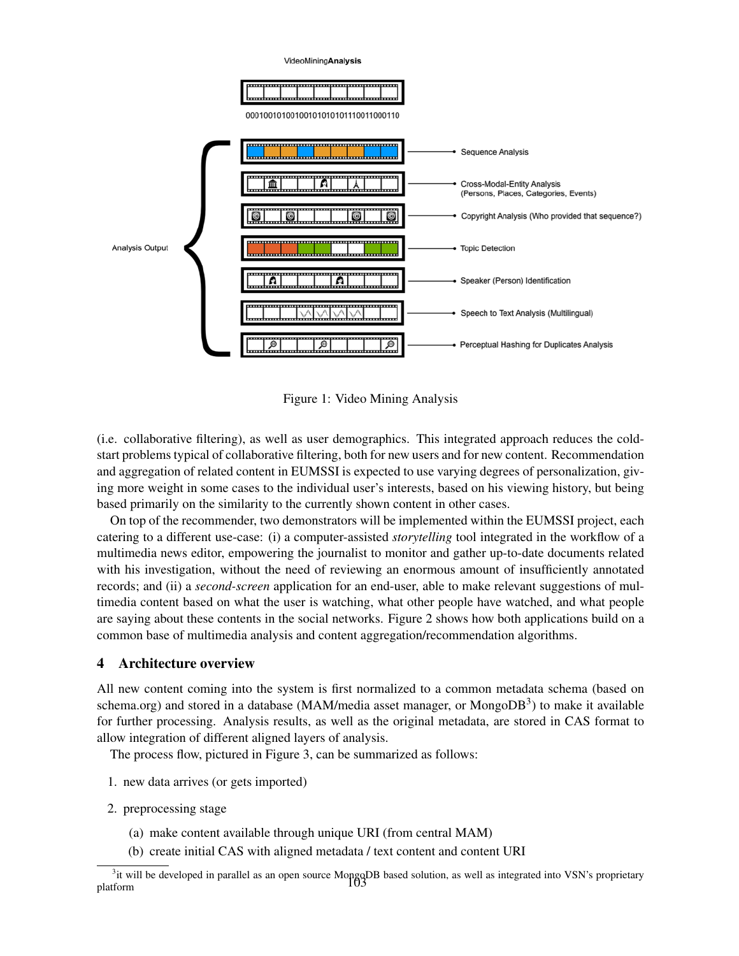

Figure 1: Video Mining Analysis

(i.e. collaborative filtering), as well as user demographics. This integrated approach reduces the coldstart problems typical of collaborative filtering, both for new users and for new content. Recommendation and aggregation of related content in EUMSSI is expected to use varying degrees of personalization, giving more weight in some cases to the individual user's interests, based on his viewing history, but being based primarily on the similarity to the currently shown content in other cases.

On top of the recommender, two demonstrators will be implemented within the EUMSSI project, each catering to a different use-case: (i) a computer-assisted *storytelling* tool integrated in the workflow of a multimedia news editor, empowering the journalist to monitor and gather up-to-date documents related with his investigation, without the need of reviewing an enormous amount of insufficiently annotated records; and (ii) a *second-screen* application for an end-user, able to make relevant suggestions of multimedia content based on what the user is watching, what other people have watched, and what people are saying about these contents in the social networks. Figure 2 shows how both applications build on a common base of multimedia analysis and content aggregation/recommendation algorithms.

# 4 Architecture overview

All new content coming into the system is first normalized to a common metadata schema (based on schema.org) and stored in a database (MAM/media asset manager, or MongoDB<sup>3</sup>) to make it available for further processing. Analysis results, as well as the original metadata, are stored in CAS format to allow integration of different aligned layers of analysis.

The process flow, pictured in Figure 3, can be summarized as follows:

- 1. new data arrives (or gets imported)
- 2. preprocessing stage
	- (a) make content available through unique URI (from central MAM)
	- (b) create initial CAS with aligned metadata / text content and content URI

<sup>&</sup>lt;sup>3</sup>it will be developed in parallel as an open source MongoDB based solution, as well as integrated into VSN's proprietary<br>form platform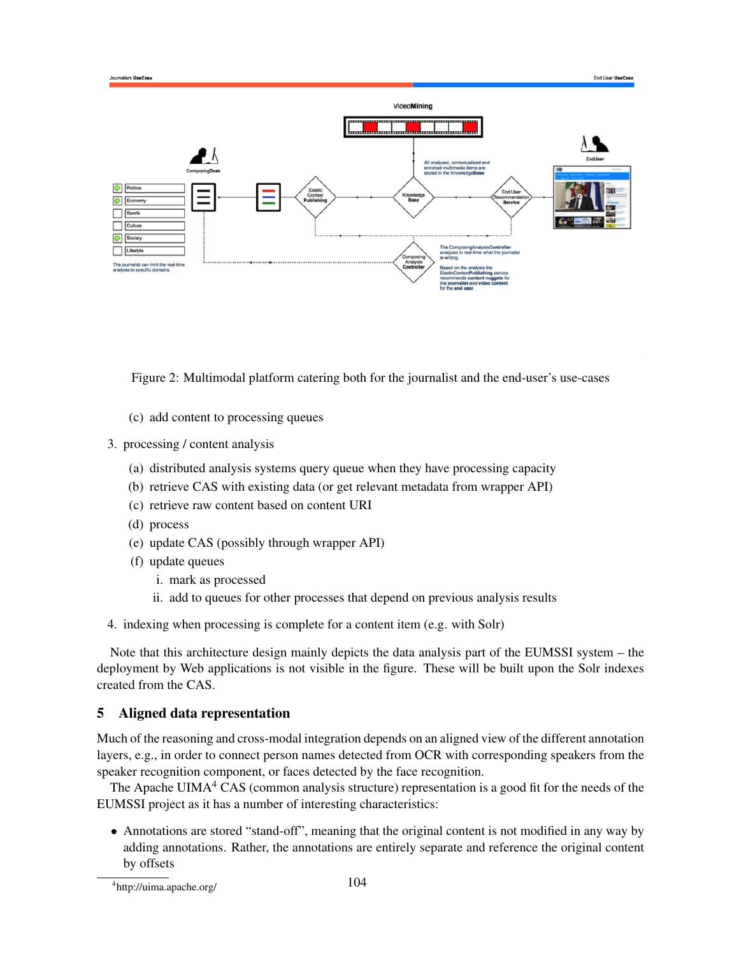

Figure 2: Multimodal platform catering both for the journalist and the end-user's use-cases

- (c) add content to processing queues
- 3. processing / content analysis
	- (a) distributed analysis systems query queue when they have processing capacity
	- (b) retrieve CAS with existing data (or get relevant metadata from wrapper API)
	- (c) retrieve raw content based on content URI
	- (d) process
	- (e) update CAS (possibly through wrapper API)
	- (f) update queues
		- i. mark as processed
		- ii. add to queues for other processes that depend on previous analysis results
- 4. indexing when processing is complete for a content item (e.g. with Solr)

Note that this architecture design mainly depicts the data analysis part of the EUMSSI system – the deployment by Web applications is not visible in the figure. These will be built upon the Solr indexes created from the CAS.

#### 5 Aligned data representation

Much of the reasoning and cross-modal integration depends on an aligned view of the different annotation layers, e.g., in order to connect person names detected from OCR with corresponding speakers from the speaker recognition component, or faces detected by the face recognition.

The Apache UIMA $4\,$  CAS (common analysis structure) representation is a good fit for the needs of the EUMSSI project as it has a number of interesting characteristics:

• Annotations are stored "stand-off", meaning that the original content is not modified in any way by adding annotations. Rather, the annotations are entirely separate and reference the original content by offsets

<sup>4</sup> http://uima.apache.org/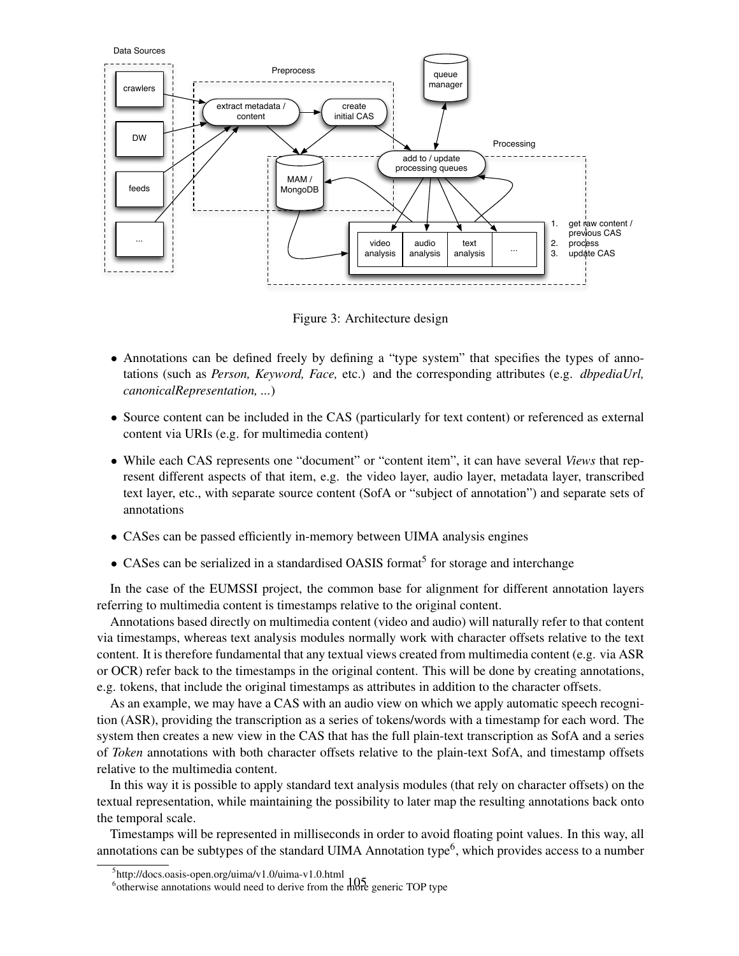

Figure 3: Architecture design

- Annotations can be defined freely by defining a "type system" that specifies the types of annotations (such as *Person, Keyword, Face,* etc.) and the corresponding attributes (e.g. *dbpediaUrl, canonicalRepresentation, ...*)
- Source content can be included in the CAS (particularly for text content) or referenced as external content via URIs (e.g. for multimedia content)
- While each CAS represents one "document" or "content item", it can have several *Views* that represent different aspects of that item, e.g. the video layer, audio layer, metadata layer, transcribed text layer, etc., with separate source content (SofA or "subject of annotation") and separate sets of annotations
- CASes can be passed efficiently in-memory between UIMA analysis engines
- CASes can be serialized in a standardised OASIS format<sup>5</sup> for storage and interchange

In the case of the EUMSSI project, the common base for alignment for different annotation layers referring to multimedia content is timestamps relative to the original content.

Annotations based directly on multimedia content (video and audio) will naturally refer to that content via timestamps, whereas text analysis modules normally work with character offsets relative to the text content. It is therefore fundamental that any textual views created from multimedia content (e.g. via ASR or OCR) refer back to the timestamps in the original content. This will be done by creating annotations, e.g. tokens, that include the original timestamps as attributes in addition to the character offsets.

As an example, we may have a CAS with an audio view on which we apply automatic speech recognition (ASR), providing the transcription as a series of tokens/words with a timestamp for each word. The system then creates a new view in the CAS that has the full plain-text transcription as SofA and a series of *Token* annotations with both character offsets relative to the plain-text SofA, and timestamp offsets relative to the multimedia content.

In this way it is possible to apply standard text analysis modules (that rely on character offsets) on the textual representation, while maintaining the possibility to later map the resulting annotations back onto the temporal scale.

Timestamps will be represented in milliseconds in order to avoid floating point values. In this way, all annotations can be subtypes of the standard UIMA Annotation type<sup>6</sup>, which provides access to a number

<sup>5</sup> http://docs.oasis-open.org/uima/v1.0/uima-v1.0.html

<sup>&</sup>lt;sup>6</sup> otherwise annotations would need to derive from the more generic TOP type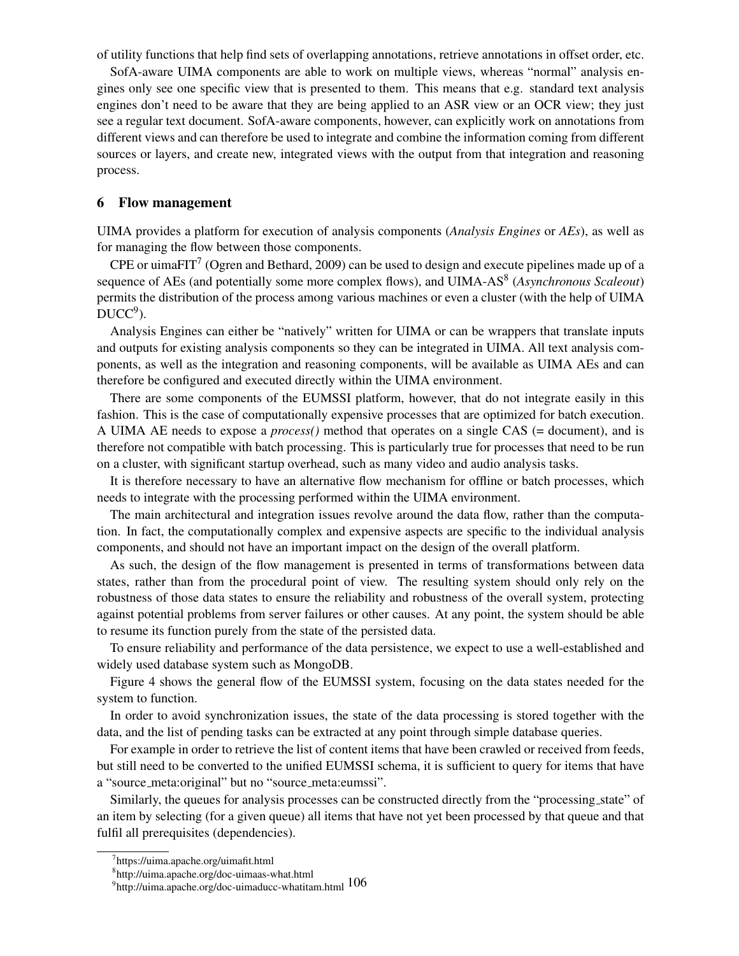of utility functions that help find sets of overlapping annotations, retrieve annotations in offset order, etc.

SofA-aware UIMA components are able to work on multiple views, whereas "normal" analysis engines only see one specific view that is presented to them. This means that e.g. standard text analysis engines don't need to be aware that they are being applied to an ASR view or an OCR view; they just see a regular text document. SofA-aware components, however, can explicitly work on annotations from different views and can therefore be used to integrate and combine the information coming from different sources or layers, and create new, integrated views with the output from that integration and reasoning process.

#### 6 Flow management

UIMA provides a platform for execution of analysis components (*Analysis Engines* or *AEs*), as well as for managing the flow between those components.

CPE or uimaFIT<sup>7</sup> (Ogren and Bethard, 2009) can be used to design and execute pipelines made up of a sequence of AEs (and potentially some more complex flows), and UIMA-AS<sup>8</sup> (Asynchronous Scaleout) permits the distribution of the process among various machines or even a cluster (with the help of UIMA  $DUCC<sup>9</sup>$ ).

Analysis Engines can either be "natively" written for UIMA or can be wrappers that translate inputs and outputs for existing analysis components so they can be integrated in UIMA. All text analysis components, as well as the integration and reasoning components, will be available as UIMA AEs and can therefore be configured and executed directly within the UIMA environment.

There are some components of the EUMSSI platform, however, that do not integrate easily in this fashion. This is the case of computationally expensive processes that are optimized for batch execution. A UIMA AE needs to expose a *process()* method that operates on a single CAS (= document), and is therefore not compatible with batch processing. This is particularly true for processes that need to be run on a cluster, with significant startup overhead, such as many video and audio analysis tasks.

It is therefore necessary to have an alternative flow mechanism for offline or batch processes, which needs to integrate with the processing performed within the UIMA environment.

The main architectural and integration issues revolve around the data flow, rather than the computation. In fact, the computationally complex and expensive aspects are specific to the individual analysis components, and should not have an important impact on the design of the overall platform.

As such, the design of the flow management is presented in terms of transformations between data states, rather than from the procedural point of view. The resulting system should only rely on the robustness of those data states to ensure the reliability and robustness of the overall system, protecting against potential problems from server failures or other causes. At any point, the system should be able to resume its function purely from the state of the persisted data.

To ensure reliability and performance of the data persistence, we expect to use a well-established and widely used database system such as MongoDB.

Figure 4 shows the general flow of the EUMSSI system, focusing on the data states needed for the system to function.

In order to avoid synchronization issues, the state of the data processing is stored together with the data, and the list of pending tasks can be extracted at any point through simple database queries.

For example in order to retrieve the list of content items that have been crawled or received from feeds, but still need to be converted to the unified EUMSSI schema, it is sufficient to query for items that have a "source meta:original" but no "source meta:eumssi".

Similarly, the queues for analysis processes can be constructed directly from the "processing state" of an item by selecting (for a given queue) all items that have not yet been processed by that queue and that fulfil all prerequisites (dependencies).

<sup>7</sup> https://uima.apache.org/uimafit.html

<sup>8</sup> http://uima.apache.org/doc-uimaas-what.html

http://uima.apache.org/doc-uimaducc-whatitam.html 106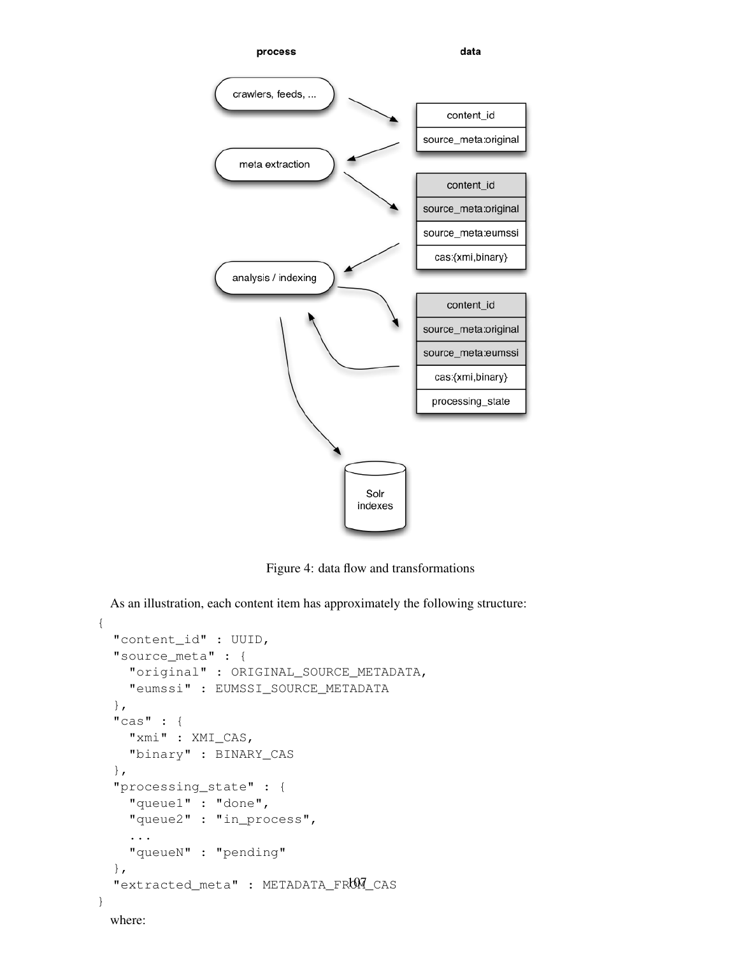

Figure 4: data flow and transformations

As an illustration, each content item has approximately the following structure:

```
{
 "content_id" : UUID,
 "source_meta" : {
    "original" : ORIGINAL_SOURCE_METADATA,
    "eumssi" : EUMSSI_SOURCE_METADATA
 },
  "cas" : {
    "xmi" : XMI_CAS,
    "binary" : BINARY_CAS
 },
 "processing_state" : {
    "queue1" : "done",
    "queue2" : "in_process",
    ...
    "queueN" : "pending"
 },
 "extracted_meta" : METADATA_FROM_CAS<br>where:
}
```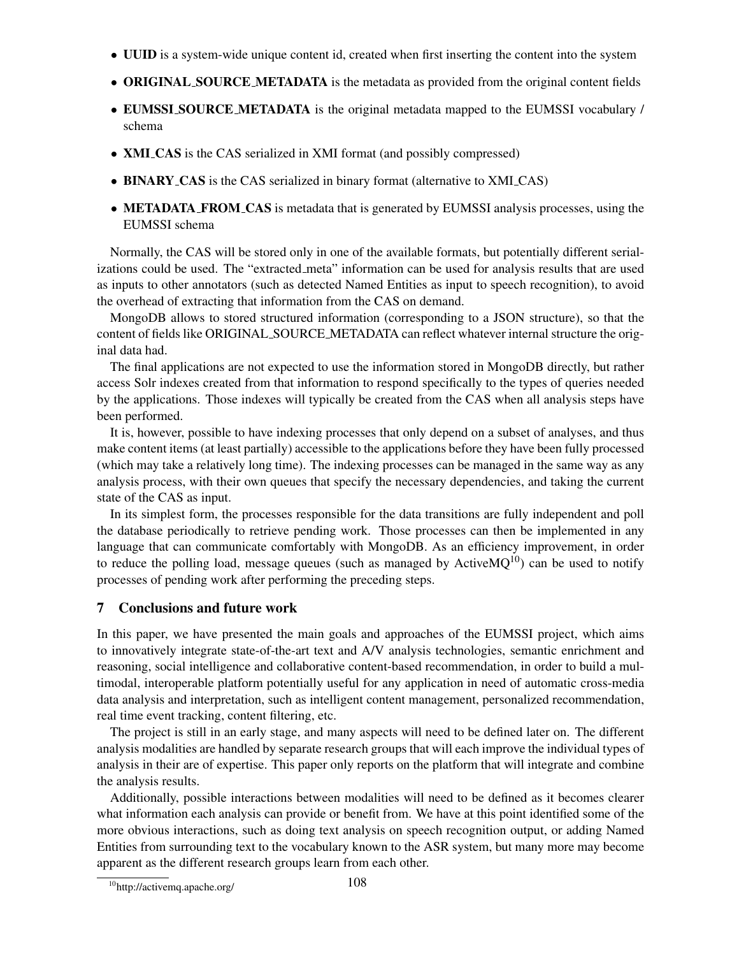- UUID is a system-wide unique content id, created when first inserting the content into the system
- ORIGINAL SOURCE METADATA is the metadata as provided from the original content fields
- EUMSSI SOURCE METADATA is the original metadata mapped to the EUMSSI vocabulary / schema
- **XMI\_CAS** is the CAS serialized in XMI format (and possibly compressed)
- BINARY\_CAS is the CAS serialized in binary format (alternative to XMI\_CAS)
- METADATA FROM CAS is metadata that is generated by EUMSSI analysis processes, using the EUMSSI schema

Normally, the CAS will be stored only in one of the available formats, but potentially different serializations could be used. The "extracted meta" information can be used for analysis results that are used as inputs to other annotators (such as detected Named Entities as input to speech recognition), to avoid the overhead of extracting that information from the CAS on demand.

MongoDB allows to stored structured information (corresponding to a JSON structure), so that the content of fields like ORIGINAL SOURCE METADATA can reflect whatever internal structure the original data had.

The final applications are not expected to use the information stored in MongoDB directly, but rather access Solr indexes created from that information to respond specifically to the types of queries needed by the applications. Those indexes will typically be created from the CAS when all analysis steps have been performed.

It is, however, possible to have indexing processes that only depend on a subset of analyses, and thus make content items (at least partially) accessible to the applications before they have been fully processed (which may take a relatively long time). The indexing processes can be managed in the same way as any analysis process, with their own queues that specify the necessary dependencies, and taking the current state of the CAS as input.

In its simplest form, the processes responsible for the data transitions are fully independent and poll the database periodically to retrieve pending work. Those processes can then be implemented in any language that can communicate comfortably with MongoDB. As an efficiency improvement, in order to reduce the polling load, message queues (such as managed by Active $MQ^{10}$ ) can be used to notify processes of pending work after performing the preceding steps.

# 7 Conclusions and future work

In this paper, we have presented the main goals and approaches of the EUMSSI project, which aims to innovatively integrate state-of-the-art text and A/V analysis technologies, semantic enrichment and reasoning, social intelligence and collaborative content-based recommendation, in order to build a multimodal, interoperable platform potentially useful for any application in need of automatic cross-media data analysis and interpretation, such as intelligent content management, personalized recommendation, real time event tracking, content filtering, etc.

The project is still in an early stage, and many aspects will need to be defined later on. The different analysis modalities are handled by separate research groups that will each improve the individual types of analysis in their are of expertise. This paper only reports on the platform that will integrate and combine the analysis results.

Additionally, possible interactions between modalities will need to be defined as it becomes clearer what information each analysis can provide or benefit from. We have at this point identified some of the more obvious interactions, such as doing text analysis on speech recognition output, or adding Named Entities from surrounding text to the vocabulary known to the ASR system, but many more may become apparent as the different research groups learn from each other.

<sup>10</sup>http://activemq.apache.org/